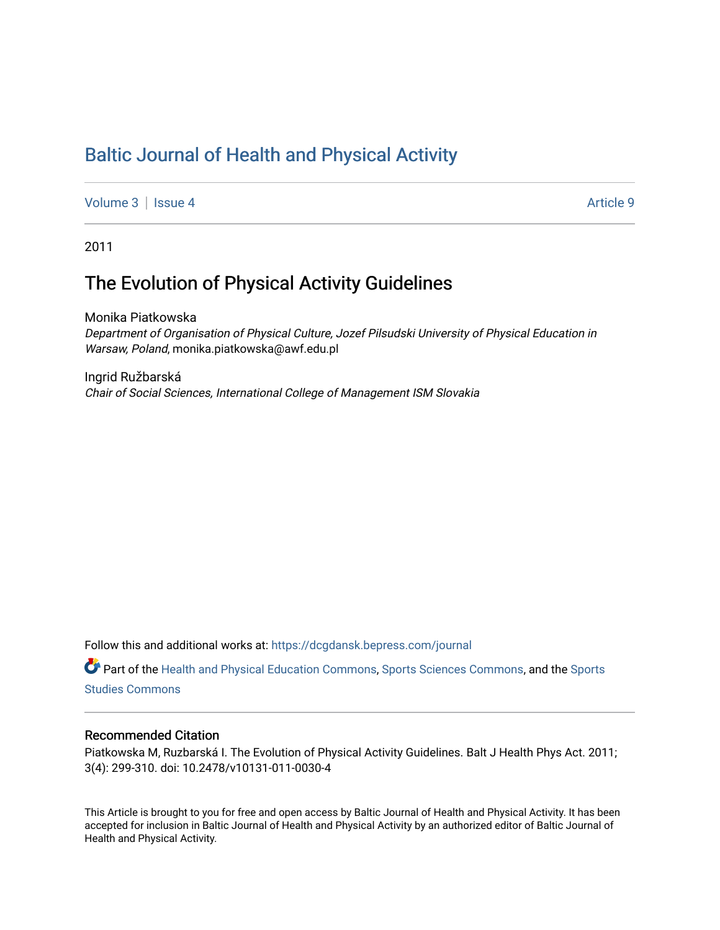# [Baltic Journal of Health and Physical Activity](https://dcgdansk.bepress.com/journal)

[Volume 3](https://dcgdansk.bepress.com/journal/vol3) | [Issue 4](https://dcgdansk.bepress.com/journal/vol3/iss4) Article 9

2011

## The Evolution of Physical Activity Guidelines

Monika Piatkowska Department of Organisation of Physical Culture, Jozef Pilsudski University of Physical Education in Warsaw, Poland, monika.piatkowska@awf.edu.pl

Ingrid Ružbarská Chair of Social Sciences, International College of Management ISM Slovakia

Follow this and additional works at: [https://dcgdansk.bepress.com/journal](https://dcgdansk.bepress.com/journal?utm_source=dcgdansk.bepress.com%2Fjournal%2Fvol3%2Fiss4%2F9&utm_medium=PDF&utm_campaign=PDFCoverPages)

Part of the [Health and Physical Education Commons](http://network.bepress.com/hgg/discipline/1327?utm_source=dcgdansk.bepress.com%2Fjournal%2Fvol3%2Fiss4%2F9&utm_medium=PDF&utm_campaign=PDFCoverPages), [Sports Sciences Commons](http://network.bepress.com/hgg/discipline/759?utm_source=dcgdansk.bepress.com%2Fjournal%2Fvol3%2Fiss4%2F9&utm_medium=PDF&utm_campaign=PDFCoverPages), and the [Sports](http://network.bepress.com/hgg/discipline/1198?utm_source=dcgdansk.bepress.com%2Fjournal%2Fvol3%2Fiss4%2F9&utm_medium=PDF&utm_campaign=PDFCoverPages)  [Studies Commons](http://network.bepress.com/hgg/discipline/1198?utm_source=dcgdansk.bepress.com%2Fjournal%2Fvol3%2Fiss4%2F9&utm_medium=PDF&utm_campaign=PDFCoverPages) 

#### Recommended Citation

Piatkowska M, Ruzbarská I. The Evolution of Physical Activity Guidelines. Balt J Health Phys Act. 2011; 3(4): 299-310. doi: 10.2478/v10131-011-0030-4

This Article is brought to you for free and open access by Baltic Journal of Health and Physical Activity. It has been accepted for inclusion in Baltic Journal of Health and Physical Activity by an authorized editor of Baltic Journal of Health and Physical Activity.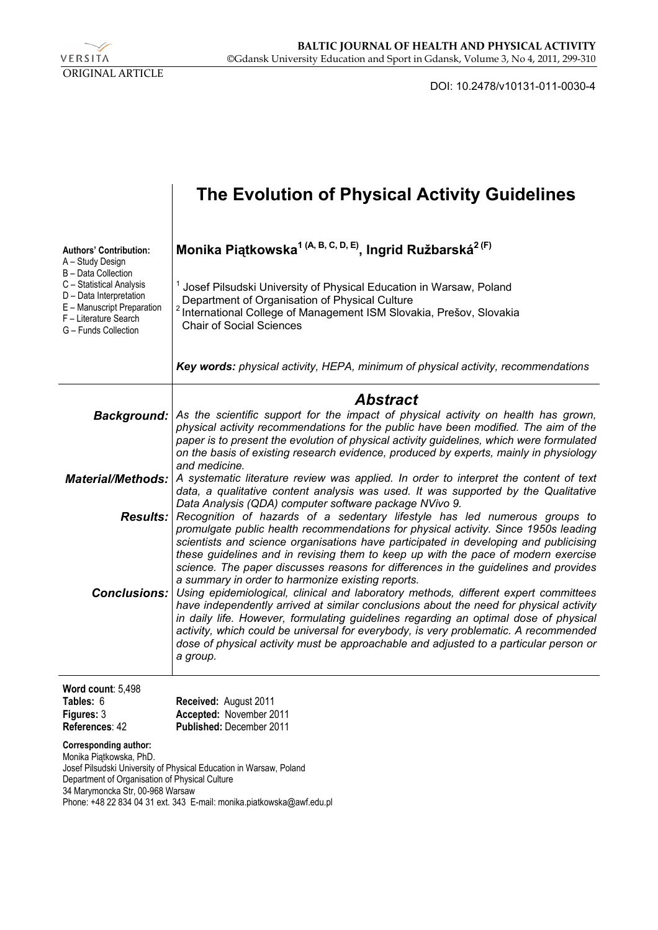

DOI: 10.2478/v10131-011-0030-4

|                                                                                                                                    | The Evolution of Physical Activity Guidelines                                                                                                                                                                                                                                                                                                                                                                                                                                                              |
|------------------------------------------------------------------------------------------------------------------------------------|------------------------------------------------------------------------------------------------------------------------------------------------------------------------------------------------------------------------------------------------------------------------------------------------------------------------------------------------------------------------------------------------------------------------------------------------------------------------------------------------------------|
| <b>Authors' Contribution:</b><br>A - Study Design<br>B - Data Collection                                                           | Monika Piątkowska <sup>1 (A, B, C, D, E)</sup> , Ingrid Ružbarská <sup>2 (F)</sup>                                                                                                                                                                                                                                                                                                                                                                                                                         |
| C - Statistical Analysis<br>D - Data Interpretation<br>E - Manuscript Preparation<br>F - Literature Search<br>G - Funds Collection | Josef Pilsudski University of Physical Education in Warsaw, Poland<br>Department of Organisation of Physical Culture<br><sup>2</sup> International College of Management ISM Slovakia, Prešov, Slovakia<br><b>Chair of Social Sciences</b>                                                                                                                                                                                                                                                                 |
|                                                                                                                                    | Key words: physical activity, HEPA, minimum of physical activity, recommendations                                                                                                                                                                                                                                                                                                                                                                                                                          |
|                                                                                                                                    | <b>Abstract</b>                                                                                                                                                                                                                                                                                                                                                                                                                                                                                            |
|                                                                                                                                    | Background:   As the scientific support for the impact of physical activity on health has grown,<br>physical activity recommendations for the public have been modified. The aim of the<br>paper is to present the evolution of physical activity guidelines, which were formulated<br>on the basis of existing research evidence, produced by experts, mainly in physiology<br>and medicine.                                                                                                              |
| <b>Material/Methods:</b>                                                                                                           | A systematic literature review was applied. In order to interpret the content of text<br>data, a qualitative content analysis was used. It was supported by the Qualitative<br>Data Analysis (QDA) computer software package NVivo 9.                                                                                                                                                                                                                                                                      |
|                                                                                                                                    | <b>Results:</b> Recognition of hazards of a sedentary lifestyle has led numerous groups to<br>promulgate public health recommendations for physical activity. Since 1950s leading<br>scientists and science organisations have participated in developing and publicising<br>these guidelines and in revising them to keep up with the pace of modern exercise<br>science. The paper discusses reasons for differences in the guidelines and provides<br>a summary in order to harmonize existing reports. |
| <b>Conclusions:</b>                                                                                                                | Using epidemiological, clinical and laboratory methods, different expert committees<br>have independently arrived at similar conclusions about the need for physical activity<br>in daily life. However, formulating guidelines regarding an optimal dose of physical<br>activity, which could be universal for everybody, is very problematic. A recommended<br>dose of physical activity must be approachable and adjusted to a particular person or<br>a group.                                         |
| Word count: 5,498<br>Tables: 6                                                                                                     | Received: August 2011                                                                                                                                                                                                                                                                                                                                                                                                                                                                                      |
| Figures: 3<br>References: 42                                                                                                       | Accepted: November 2011<br>Published: December 2011                                                                                                                                                                                                                                                                                                                                                                                                                                                        |
| Corresponding author:<br>Monika Piątkowska, PhD.<br>Department of Organisation of Physical Culture                                 | Josef Pilsudski University of Physical Education in Warsaw, Poland                                                                                                                                                                                                                                                                                                                                                                                                                                         |

34 Marymoncka Str, 00-968 Warsaw

Phone: +48 22 834 04 31 ext. 343 E-mail: monika.piatkowska@awf.edu.pl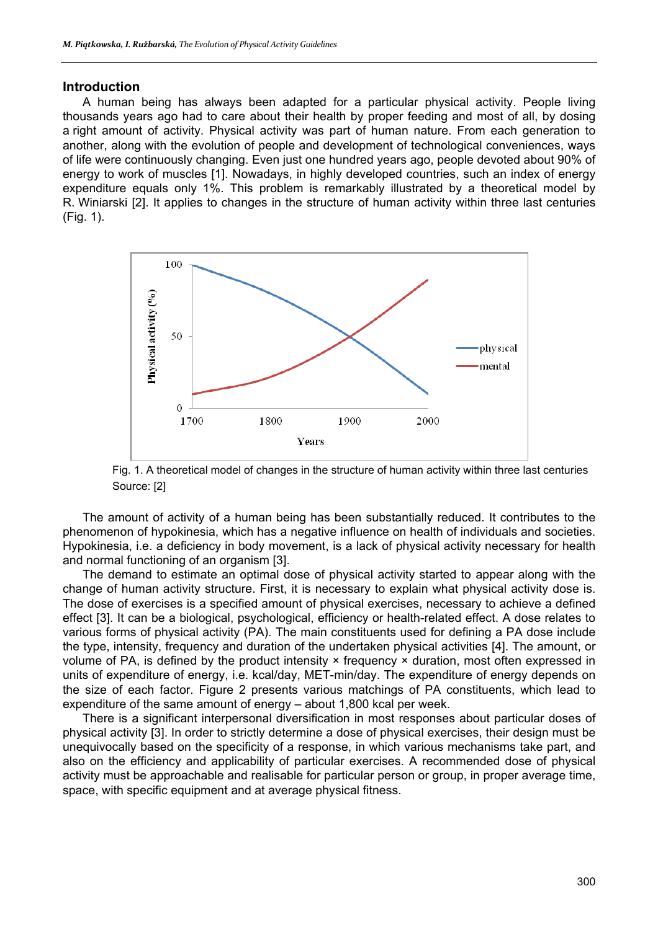### **Introduction**

A human being has always been adapted for a particular physical activity. People living thousands years ago had to care about their health by proper feeding and most of all, by dosing a right amount of activity. Physical activity was part of human nature. From each generation to another, along with the evolution of people and development of technological conveniences, ways of life were continuously changing. Even just one hundred years ago, people devoted about 90% of energy to work of muscles [1]. Nowadays, in highly developed countries, such an index of energy expenditure equals only 1%. This problem is remarkably illustrated by a theoretical model by R. Winiarski [2]. It applies to changes in the structure of human activity within three last centuries (Fig. 1).



Fig. 1. A theoretical model of changes in the structure of human activity within three last centuries Source: [2]

The amount of activity of a human being has been substantially reduced. It contributes to the phenomenon of hypokinesia, which has a negative influence on health of individuals and societies. Hypokinesia, i.e. a deficiency in body movement, is a lack of physical activity necessary for health and normal functioning of an organism [3].

The demand to estimate an optimal dose of physical activity started to appear along with the change of human activity structure. First, it is necessary to explain what physical activity dose is. The dose of exercises is a specified amount of physical exercises, necessary to achieve a defined effect [3]. It can be a biological, psychological, efficiency or health-related effect. A dose relates to various forms of physical activity (PA). The main constituents used for defining a PA dose include the type, intensity, frequency and duration of the undertaken physical activities [4]. The amount, or volume of PA, is defined by the product intensity × frequency × duration, most often expressed in units of expenditure of energy, i.e. kcal/day, MET-min/day. The expenditure of energy depends on the size of each factor. Figure 2 presents various matchings of PA constituents, which lead to expenditure of the same amount of energy – about 1,800 kcal per week.

There is a significant interpersonal diversification in most responses about particular doses of physical activity [3]. In order to strictly determine a dose of physical exercises, their design must be unequivocally based on the specificity of a response, in which various mechanisms take part, and also on the efficiency and applicability of particular exercises. A recommended dose of physical activity must be approachable and realisable for particular person or group, in proper average time, space, with specific equipment and at average physical fitness.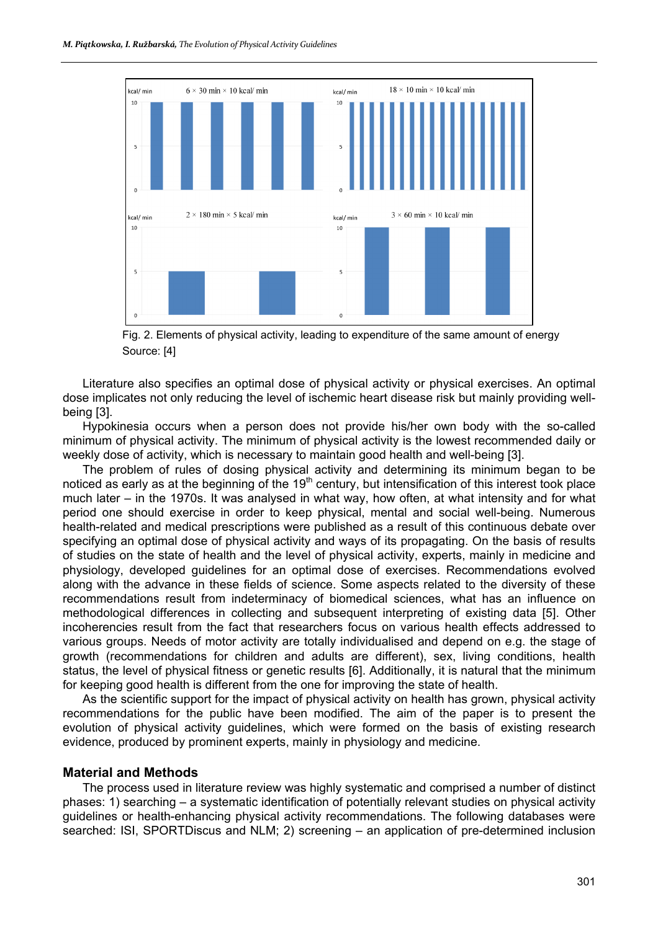

Fig. 2. Elements of physical activity, leading to expenditure of the same amount of energy Source: [4]

Literature also specifies an optimal dose of physical activity or physical exercises. An optimal dose implicates not only reducing the level of ischemic heart disease risk but mainly providing wellbeing [3].

Hypokinesia occurs when a person does not provide his/her own body with the so-called minimum of physical activity. The minimum of physical activity is the lowest recommended daily or weekly dose of activity, which is necessary to maintain good health and well-being [3].

The problem of rules of dosing physical activity and determining its minimum began to be noticed as early as at the beginning of the 19<sup>th</sup> century, but intensification of this interest took place much later – in the 1970s. It was analysed in what way, how often, at what intensity and for what period one should exercise in order to keep physical, mental and social well-being. Numerous health-related and medical prescriptions were published as a result of this continuous debate over specifying an optimal dose of physical activity and ways of its propagating. On the basis of results of studies on the state of health and the level of physical activity, experts, mainly in medicine and physiology, developed guidelines for an optimal dose of exercises. Recommendations evolved along with the advance in these fields of science. Some aspects related to the diversity of these recommendations result from indeterminacy of biomedical sciences, what has an influence on methodological differences in collecting and subsequent interpreting of existing data [5]. Other incoherencies result from the fact that researchers focus on various health effects addressed to various groups. Needs of motor activity are totally individualised and depend on e.g. the stage of growth (recommendations for children and adults are different), sex, living conditions, health status, the level of physical fitness or genetic results [6]. Additionally, it is natural that the minimum for keeping good health is different from the one for improving the state of health.

As the scientific support for the impact of physical activity on health has grown, physical activity recommendations for the public have been modified. The aim of the paper is to present the evolution of physical activity guidelines, which were formed on the basis of existing research evidence, produced by prominent experts, mainly in physiology and medicine.

#### **Material and Methods**

The process used in literature review was highly systematic and comprised a number of distinct phases: 1) searching – a systematic identification of potentially relevant studies on physical activity guidelines or health-enhancing physical activity recommendations. The following databases were searched: ISI, SPORTDiscus and NLM; 2) screening – an application of pre-determined inclusion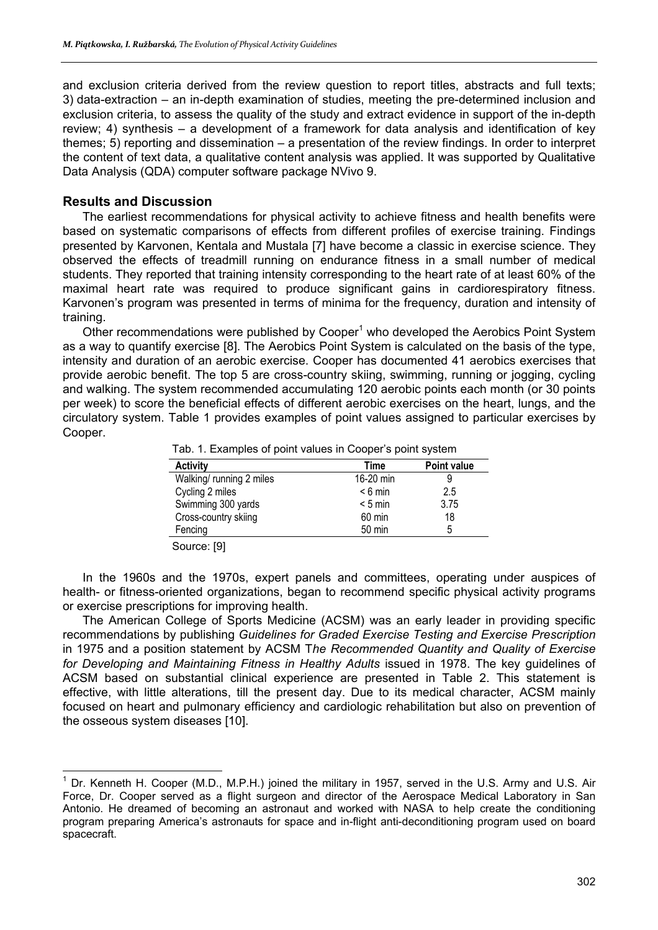and exclusion criteria derived from the review question to report titles, abstracts and full texts; 3) data-extraction – an in-depth examination of studies, meeting the pre-determined inclusion and exclusion criteria, to assess the quality of the study and extract evidence in support of the in-depth review; 4) synthesis – a development of a framework for data analysis and identification of key themes; 5) reporting and dissemination – a presentation of the review findings. In order to interpret the content of text data, a qualitative content analysis was applied. It was supported by Qualitative Data Analysis (QDA) computer software package NVivo 9.

## **Results and Discussion**

The earliest recommendations for physical activity to achieve fitness and health benefits were based on systematic comparisons of effects from different profiles of exercise training. Findings presented by Karvonen, Kentala and Mustala [7] have become a classic in exercise science. They observed the effects of treadmill running on endurance fitness in a small number of medical students. They reported that training intensity corresponding to the heart rate of at least 60% of the maximal heart rate was required to produce significant gains in cardiorespiratory fitness. Karvonen's program was presented in terms of minima for the frequency, duration and intensity of training.

Other recommendations were published by Cooper<sup>1</sup> who developed the Aerobics Point System as a way to quantify exercise [8]. The Aerobics Point System is calculated on the basis of the type, intensity and duration of an aerobic exercise. Cooper has documented 41 aerobics exercises that provide aerobic benefit. The top 5 are cross-country skiing, swimming, running or jogging, cycling and walking. The system recommended accumulating 120 aerobic points each month (or 30 points per week) to score the beneficial effects of different aerobic exercises on the heart, lungs, and the circulatory system. Table 1 provides examples of point values assigned to particular exercises by Cooper.

Tab. 1. Examples of point values in Cooper's point system

| <b>Activity</b>          | Time              | <b>Point value</b> |
|--------------------------|-------------------|--------------------|
| Walking/ running 2 miles | 16-20 min         |                    |
| Cycling 2 miles          | $< 6 \text{ min}$ | 2.5                |
| Swimming 300 yards       | $< 5$ min         | 3.75               |
| Cross-country skiing     | 60 min            | 18                 |
| Fencing                  | 50 min            | 5                  |

Source: [9]

 $\overline{a}$ 

In the 1960s and the 1970s, expert panels and committees, operating under auspices of health- or fitness-oriented organizations, began to recommend specific physical activity programs or exercise prescriptions for improving health.

The American College of Sports Medicine (ACSM) was an early leader in providing specific recommendations by publishing *Guidelines for Graded Exercise Testing and Exercise Prescription* in 1975 and a position statement by ACSM T*he Recommended Quantity and Quality of Exercise for Developing and Maintaining Fitness in Healthy Adults* issued in 1978. The key guidelines of ACSM based on substantial clinical experience are presented in Table 2. This statement is effective, with little alterations, till the present day. Due to its medical character, ACSM mainly focused on heart and pulmonary efficiency and cardiologic rehabilitation but also on prevention of the osseous system diseases [10].

<sup>1</sup> Dr. Kenneth H. Cooper (M.D., M.P.H.) joined the military in 1957, served in the U.S. Army and U.S. Air Force, Dr. Cooper served as a flight surgeon and director of the Aerospace Medical Laboratory in San Antonio. He dreamed of becoming an astronaut and worked with NASA to help create the conditioning program preparing America's astronauts for space and in-flight anti-deconditioning program used on board spacecraft.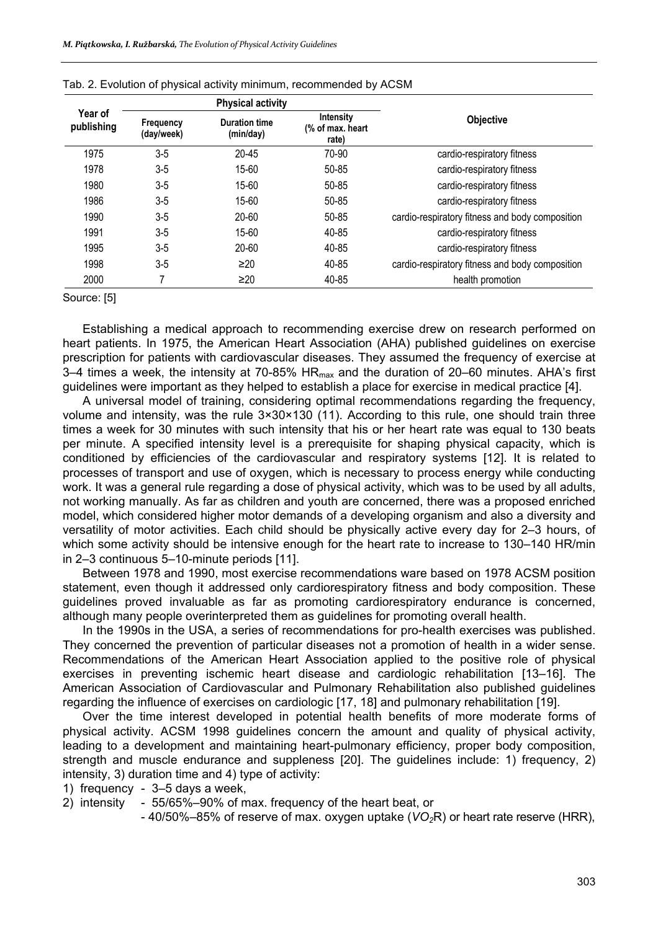|                       | <b>Physical activity</b> |                                   |                                        |                                                 |
|-----------------------|--------------------------|-----------------------------------|----------------------------------------|-------------------------------------------------|
| Year of<br>publishing | Frequency<br>(day/week)  | <b>Duration time</b><br>(min/day) | Intensity<br>(% of max. heart<br>rate) | Objective                                       |
| 1975                  | $3-5$                    | 20-45                             | 70-90                                  | cardio-respiratory fitness                      |
| 1978                  | $3-5$                    | 15-60                             | 50-85                                  | cardio-respiratory fitness                      |
| 1980                  | $3-5$                    | 15-60                             | 50-85                                  | cardio-respiratory fitness                      |
| 1986                  | $3-5$                    | 15-60                             | 50-85                                  | cardio-respiratory fitness                      |
| 1990                  | $3-5$                    | 20-60                             | 50-85                                  | cardio-respiratory fitness and body composition |
| 1991                  | $3-5$                    | 15-60                             | 40-85                                  | cardio-respiratory fitness                      |
| 1995                  | $3-5$                    | 20-60                             | 40-85                                  | cardio-respiratory fitness                      |
| 1998                  | $3-5$                    | $\geq 20$                         | 40-85                                  | cardio-respiratory fitness and body composition |
| 2000                  |                          | $\geq 20$                         | 40-85                                  | health promotion                                |

| Tab. 2. Evolution of physical activity minimum, recommended by ACSM |  |  |  |  |  |  |  |
|---------------------------------------------------------------------|--|--|--|--|--|--|--|
|---------------------------------------------------------------------|--|--|--|--|--|--|--|

Source: [5]

Establishing a medical approach to recommending exercise drew on research performed on heart patients. In 1975, the American Heart Association (AHA) published guidelines on exercise prescription for patients with cardiovascular diseases. They assumed the frequency of exercise at 3–4 times a week, the intensity at 70-85% HR<sub>max</sub> and the duration of 20–60 minutes. AHA's first guidelines were important as they helped to establish a place for exercise in medical practice [4].

A universal model of training, considering optimal recommendations regarding the frequency, volume and intensity, was the rule 3×30×130 (11). According to this rule, one should train three times a week for 30 minutes with such intensity that his or her heart rate was equal to 130 beats per minute. A specified intensity level is a prerequisite for shaping physical capacity, which is conditioned by efficiencies of the cardiovascular and respiratory systems [12]. It is related to processes of transport and use of oxygen, which is necessary to process energy while conducting work. It was a general rule regarding a dose of physical activity, which was to be used by all adults, not working manually. As far as children and youth are concerned, there was a proposed enriched model, which considered higher motor demands of a developing organism and also a diversity and versatility of motor activities. Each child should be physically active every day for 2–3 hours, of which some activity should be intensive enough for the heart rate to increase to 130–140 HR/min in 2–3 continuous 5–10-minute periods [11].

Between 1978 and 1990, most exercise recommendations ware based on 1978 ACSM position statement, even though it addressed only cardiorespiratory fitness and body composition. These guidelines proved invaluable as far as promoting cardiorespiratory endurance is concerned, although many people overinterpreted them as guidelines for promoting overall health.

In the 1990s in the USA, a series of recommendations for pro-health exercises was published. They concerned the prevention of particular diseases not a promotion of health in a wider sense. Recommendations of the American Heart Association applied to the positive role of physical exercises in preventing ischemic heart disease and cardiologic rehabilitation [13–16]. The American Association of Cardiovascular and Pulmonary Rehabilitation also published guidelines regarding the influence of exercises on cardiologic [17, 18] and pulmonary rehabilitation [19].

Over the time interest developed in potential health benefits of more moderate forms of physical activity. ACSM 1998 guidelines concern the amount and quality of physical activity, leading to a development and maintaining heart-pulmonary efficiency, proper body composition, strength and muscle endurance and suppleness [20]. The guidelines include: 1) frequency, 2) intensity, 3) duration time and 4) type of activity:

1) frequency - 3–5 days a week,

2) intensity - 55/65%–90% of max. frequency of the heart beat, or

- 40/50%–85% of reserve of max. oxygen uptake (*VO2*R) or heart rate reserve (HRR),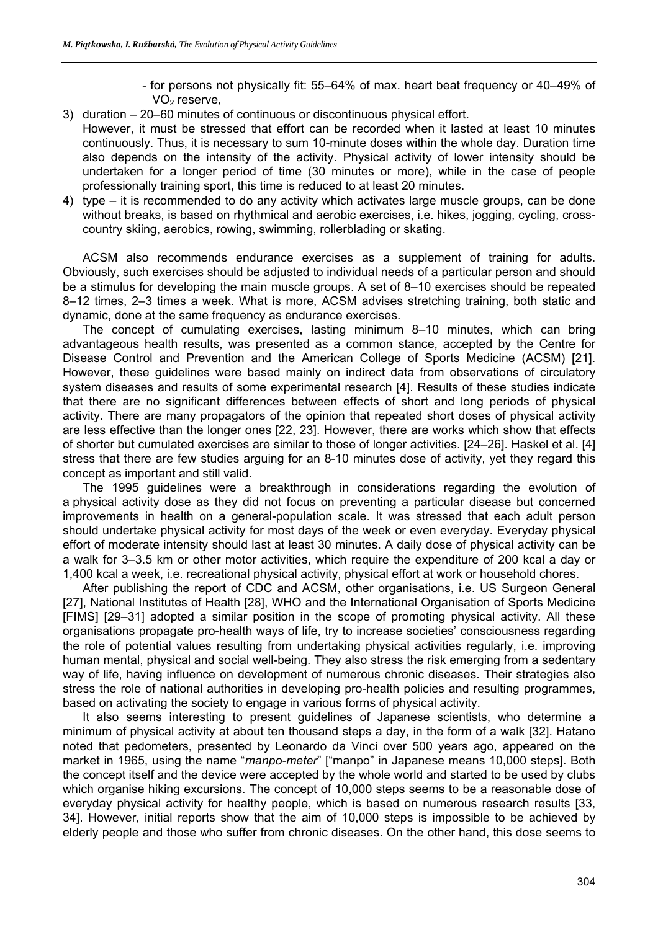- for persons not physically fit: 55–64% of max. heart beat frequency or 40–49% of  $VO<sub>2</sub>$  reserve,

- 3) duration 20–60 minutes of continuous or discontinuous physical effort.
- However, it must be stressed that effort can be recorded when it lasted at least 10 minutes continuously. Thus, it is necessary to sum 10-minute doses within the whole day. Duration time also depends on the intensity of the activity. Physical activity of lower intensity should be undertaken for a longer period of time (30 minutes or more), while in the case of people professionally training sport, this time is reduced to at least 20 minutes.
- 4) type it is recommended to do any activity which activates large muscle groups, can be done without breaks, is based on rhythmical and aerobic exercises, i.e. hikes, jogging, cycling, crosscountry skiing, aerobics, rowing, swimming, rollerblading or skating.

ACSM also recommends endurance exercises as a supplement of training for adults. Obviously, such exercises should be adjusted to individual needs of a particular person and should be a stimulus for developing the main muscle groups. A set of 8–10 exercises should be repeated 8–12 times, 2–3 times a week. What is more, ACSM advises stretching training, both static and dynamic, done at the same frequency as endurance exercises.

The concept of cumulating exercises, lasting minimum 8–10 minutes, which can bring advantageous health results, was presented as a common stance, accepted by the Centre for Disease Control and Prevention and the American College of Sports Medicine (ACSM) [21]. However, these guidelines were based mainly on indirect data from observations of circulatory system diseases and results of some experimental research [4]. Results of these studies indicate that there are no significant differences between effects of short and long periods of physical activity. There are many propagators of the opinion that repeated short doses of physical activity are less effective than the longer ones [22, 23]. However, there are works which show that effects of shorter but cumulated exercises are similar to those of longer activities. [24–26]. Haskel et al. [4] stress that there are few studies arguing for an 8-10 minutes dose of activity, yet they regard this concept as important and still valid.

The 1995 guidelines were a breakthrough in considerations regarding the evolution of a physical activity dose as they did not focus on preventing a particular disease but concerned improvements in health on a general-population scale. It was stressed that each adult person should undertake physical activity for most days of the week or even everyday. Everyday physical effort of moderate intensity should last at least 30 minutes. A daily dose of physical activity can be a walk for 3–3.5 km or other motor activities, which require the expenditure of 200 kcal a day or 1,400 kcal a week, i.e. recreational physical activity, physical effort at work or household chores.

After publishing the report of CDC and ACSM, other organisations, i.e. US Surgeon General [27], National Institutes of Health [28], WHO and the International Organisation of Sports Medicine [FIMS] [29–31] adopted a similar position in the scope of promoting physical activity. All these organisations propagate pro-health ways of life, try to increase societies' consciousness regarding the role of potential values resulting from undertaking physical activities regularly, i.e. improving human mental, physical and social well-being. They also stress the risk emerging from a sedentary way of life, having influence on development of numerous chronic diseases. Their strategies also stress the role of national authorities in developing pro-health policies and resulting programmes, based on activating the society to engage in various forms of physical activity.

It also seems interesting to present guidelines of Japanese scientists, who determine a minimum of physical activity at about ten thousand steps a day, in the form of a walk [32]. Hatano noted that pedometers, presented by Leonardo da Vinci over 500 years ago, appeared on the market in 1965, using the name "*manpo-meter*" ["manpo" in Japanese means 10,000 steps]. Both the concept itself and the device were accepted by the whole world and started to be used by clubs which organise hiking excursions. The concept of 10,000 steps seems to be a reasonable dose of everyday physical activity for healthy people, which is based on numerous research results [33, 34]. However, initial reports show that the aim of 10,000 steps is impossible to be achieved by elderly people and those who suffer from chronic diseases. On the other hand, this dose seems to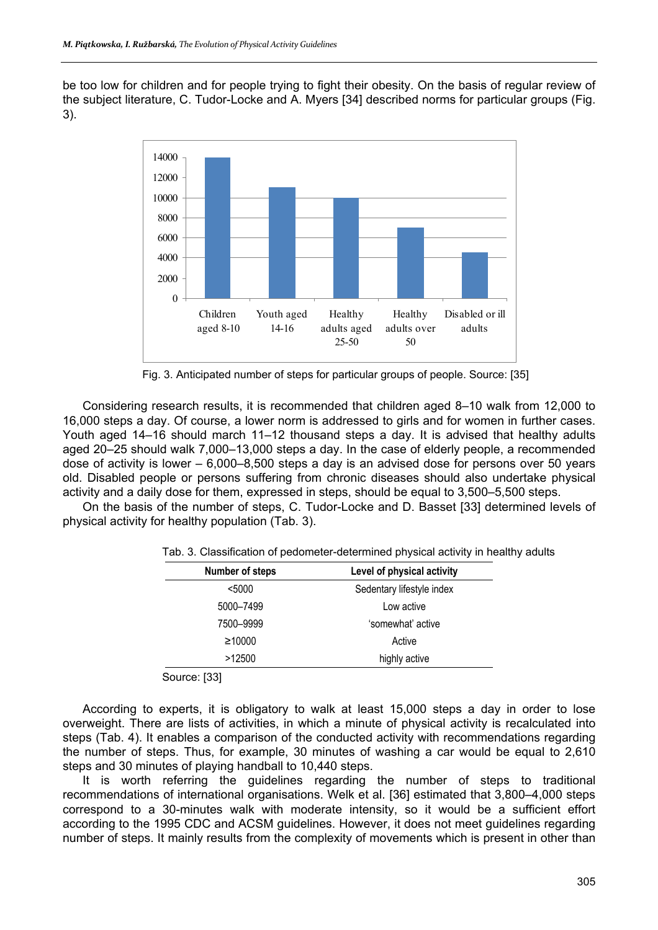be too low for children and for people trying to fight their obesity. On the basis of regular review of the subject literature, C. Tudor-Locke and A. Myers [34] described norms for particular groups (Fig. 3).



Fig. 3. Anticipated number of steps for particular groups of people. Source: [35]

Considering research results, it is recommended that children aged 8–10 walk from 12,000 to 16,000 steps a day. Of course, a lower norm is addressed to girls and for women in further cases. Youth aged 14–16 should march 11–12 thousand steps a day. It is advised that healthy adults aged 20–25 should walk 7,000–13,000 steps a day. In the case of elderly people, a recommended dose of activity is lower – 6,000–8,500 steps a day is an advised dose for persons over 50 years old. Disabled people or persons suffering from chronic diseases should also undertake physical activity and a daily dose for them, expressed in steps, should be equal to 3,500–5,500 steps.

On the basis of the number of steps, C. Tudor-Locke and D. Basset [33] determined levels of physical activity for healthy population (Tab. 3).

| <b>Number of steps</b> | Level of physical activity |  |
|------------------------|----------------------------|--|
| $5000$                 | Sedentary lifestyle index  |  |
| 5000-7499              | Low active                 |  |
| 7500-9999              | 'somewhat' active          |  |
| ≥10000                 | Active                     |  |
| >12500                 | highly active              |  |
|                        |                            |  |

Tab. 3. Classification of pedometer-determined physical activity in healthy adults

Source: [33]

According to experts, it is obligatory to walk at least 15,000 steps a day in order to lose overweight. There are lists of activities, in which a minute of physical activity is recalculated into steps (Tab. 4). It enables a comparison of the conducted activity with recommendations regarding the number of steps. Thus, for example, 30 minutes of washing a car would be equal to 2,610 steps and 30 minutes of playing handball to 10,440 steps.

It is worth referring the guidelines regarding the number of steps to traditional recommendations of international organisations. Welk et al. [36] estimated that 3,800–4,000 steps correspond to a 30-minutes walk with moderate intensity, so it would be a sufficient effort according to the 1995 CDC and ACSM guidelines. However, it does not meet guidelines regarding number of steps. It mainly results from the complexity of movements which is present in other than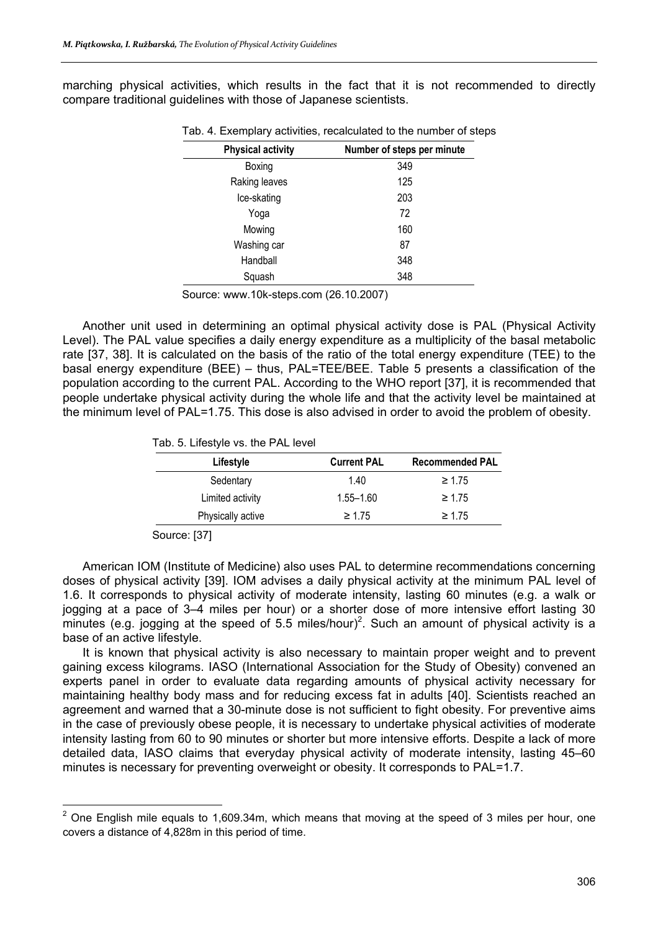marching physical activities, which results in the fact that it is not recommended to directly compare traditional guidelines with those of Japanese scientists.

| <b>Physical activity</b> | Number of steps per minute |
|--------------------------|----------------------------|
| Boxing                   | 349                        |
| Raking leaves            | 125                        |
| Ice-skating              | 203                        |
| Yoga                     | 72                         |
| Mowing                   | 160                        |
| Washing car              | 87                         |
| Handball                 | 348                        |
| Squash                   | 348                        |

Tab. 4. Exemplary activities, recalculated to the number of steps

Source: www.10k-steps.com (26.10.2007)

Another unit used in determining an optimal physical activity dose is PAL (Physical Activity Level). The PAL value specifies a daily energy expenditure as a multiplicity of the basal metabolic rate [37, 38]. It is calculated on the basis of the ratio of the total energy expenditure (TEE) to the basal energy expenditure (BEE) – thus, PAL=TEE/BEE. Table 5 presents a classification of the population according to the current PAL. According to the WHO report [37], it is recommended that people undertake physical activity during the whole life and that the activity level be maintained at the minimum level of PAL=1.75. This dose is also advised in order to avoid the problem of obesity.

Tab. 5. Lifestyle vs. the PAL level

| Lifestyle         | <b>Current PAL</b> | <b>Recommended PAL</b> |
|-------------------|--------------------|------------------------|
| Sedentary         | 1.40               | $\geq 1.75$            |
| Limited activity  | $1.55 - 1.60$      | $\geq 1.75$            |
| Physically active | $\geq 1.75$        | $\geq 1.75$            |
|                   |                    |                        |

Source: [37]

 $\overline{a}$ 

American IOM (Institute of Medicine) also uses PAL to determine recommendations concerning doses of physical activity [39]. IOM advises a daily physical activity at the minimum PAL level of 1.6. It corresponds to physical activity of moderate intensity, lasting 60 minutes (e.g. a walk or jogging at a pace of 3–4 miles per hour) or a shorter dose of more intensive effort lasting 30 minutes (e.g. jogging at the speed of 5.5 miles/hour)<sup>2</sup>. Such an amount of physical activity is a base of an active lifestyle.

It is known that physical activity is also necessary to maintain proper weight and to prevent gaining excess kilograms. IASO (International Association for the Study of Obesity) convened an experts panel in order to evaluate data regarding amounts of physical activity necessary for maintaining healthy body mass and for reducing excess fat in adults [40]. Scientists reached an agreement and warned that a 30-minute dose is not sufficient to fight obesity. For preventive aims in the case of previously obese people, it is necessary to undertake physical activities of moderate intensity lasting from 60 to 90 minutes or shorter but more intensive efforts. Despite a lack of more detailed data, IASO claims that everyday physical activity of moderate intensity, lasting 45–60 minutes is necessary for preventing overweight or obesity. It corresponds to PAL=1.7.

<sup>&</sup>lt;sup>2</sup> One English mile equals to 1,609.34m, which means that moving at the speed of 3 miles per hour, one covers a distance of 4,828m in this period of time.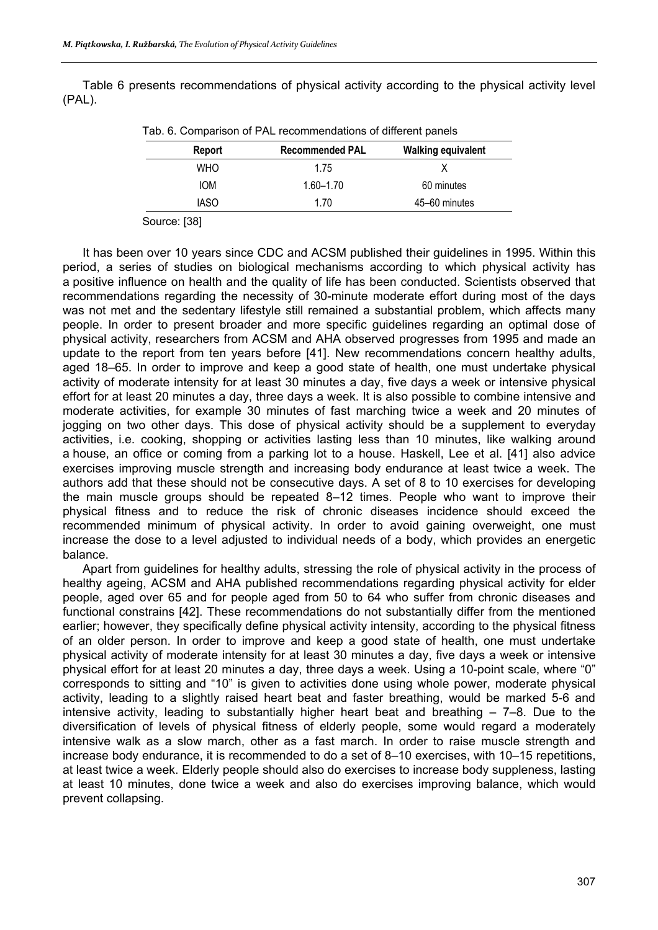Table 6 presents recommendations of physical activity according to the physical activity level (PAL).

| rab. 6. Companson or PAL recommendations or university panels |                        |                           |  |
|---------------------------------------------------------------|------------------------|---------------------------|--|
| Report                                                        | <b>Recommended PAL</b> | <b>Walking equivalent</b> |  |
| <b>WHO</b>                                                    | 1.75                   |                           |  |
| <b>IOM</b>                                                    | $1.60 - 1.70$          | 60 minutes                |  |
| <b>IASO</b>                                                   | 1.70                   | 45–60 minutes             |  |
|                                                               |                        |                           |  |

Tab. 6. Comparison of PAL recommendations of different panels

Source: [38]

It has been over 10 years since CDC and ACSM published their guidelines in 1995. Within this period, a series of studies on biological mechanisms according to which physical activity has a positive influence on health and the quality of life has been conducted. Scientists observed that recommendations regarding the necessity of 30-minute moderate effort during most of the days was not met and the sedentary lifestyle still remained a substantial problem, which affects many people. In order to present broader and more specific guidelines regarding an optimal dose of physical activity, researchers from ACSM and AHA observed progresses from 1995 and made an update to the report from ten years before [41]. New recommendations concern healthy adults, aged 18–65. In order to improve and keep a good state of health, one must undertake physical activity of moderate intensity for at least 30 minutes a day, five days a week or intensive physical effort for at least 20 minutes a day, three days a week. It is also possible to combine intensive and moderate activities, for example 30 minutes of fast marching twice a week and 20 minutes of jogging on two other days. This dose of physical activity should be a supplement to everyday activities, i.e. cooking, shopping or activities lasting less than 10 minutes, like walking around a house, an office or coming from a parking lot to a house. Haskell, Lee et al. [41] also advice exercises improving muscle strength and increasing body endurance at least twice a week. The authors add that these should not be consecutive days. A set of 8 to 10 exercises for developing the main muscle groups should be repeated 8–12 times. People who want to improve their physical fitness and to reduce the risk of chronic diseases incidence should exceed the recommended minimum of physical activity. In order to avoid gaining overweight, one must increase the dose to a level adjusted to individual needs of a body, which provides an energetic balance.

Apart from guidelines for healthy adults, stressing the role of physical activity in the process of healthy ageing, ACSM and AHA published recommendations regarding physical activity for elder people, aged over 65 and for people aged from 50 to 64 who suffer from chronic diseases and functional constrains [42]. These recommendations do not substantially differ from the mentioned earlier; however, they specifically define physical activity intensity, according to the physical fitness of an older person. In order to improve and keep a good state of health, one must undertake physical activity of moderate intensity for at least 30 minutes a day, five days a week or intensive physical effort for at least 20 minutes a day, three days a week. Using a 10-point scale, where "0" corresponds to sitting and "10" is given to activities done using whole power, moderate physical activity, leading to a slightly raised heart beat and faster breathing, would be marked 5-6 and intensive activity, leading to substantially higher heart beat and breathing – 7–8. Due to the diversification of levels of physical fitness of elderly people, some would regard a moderately intensive walk as a slow march, other as a fast march. In order to raise muscle strength and increase body endurance, it is recommended to do a set of 8–10 exercises, with 10–15 repetitions, at least twice a week. Elderly people should also do exercises to increase body suppleness, lasting at least 10 minutes, done twice a week and also do exercises improving balance, which would prevent collapsing.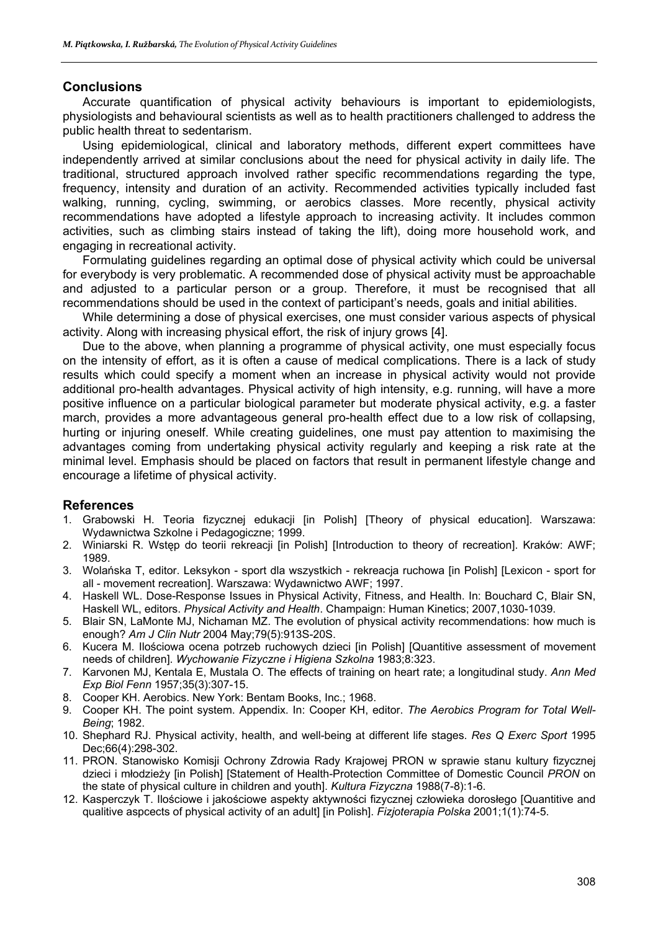## **Conclusions**

Accurate quantification of physical activity behaviours is important to epidemiologists, physiologists and behavioural scientists as well as to health practitioners challenged to address the public health threat to sedentarism.

Using epidemiological, clinical and laboratory methods, different expert committees have independently arrived at similar conclusions about the need for physical activity in daily life. The traditional, structured approach involved rather specific recommendations regarding the type, frequency, intensity and duration of an activity. Recommended activities typically included fast walking, running, cycling, swimming, or aerobics classes. More recently, physical activity recommendations have adopted a lifestyle approach to increasing activity. It includes common activities, such as climbing stairs instead of taking the lift), doing more household work, and engaging in recreational activity.

Formulating guidelines regarding an optimal dose of physical activity which could be universal for everybody is very problematic. A recommended dose of physical activity must be approachable and adjusted to a particular person or a group. Therefore, it must be recognised that all recommendations should be used in the context of participant's needs, goals and initial abilities.

While determining a dose of physical exercises, one must consider various aspects of physical activity. Along with increasing physical effort, the risk of injury grows [4].

Due to the above, when planning a programme of physical activity, one must especially focus on the intensity of effort, as it is often a cause of medical complications. There is a lack of study results which could specify a moment when an increase in physical activity would not provide additional pro-health advantages. Physical activity of high intensity, e.g. running, will have a more positive influence on a particular biological parameter but moderate physical activity, e.g. a faster march, provides a more advantageous general pro-health effect due to a low risk of collapsing, hurting or injuring oneself. While creating guidelines, one must pay attention to maximising the advantages coming from undertaking physical activity regularly and keeping a risk rate at the minimal level. Emphasis should be placed on factors that result in permanent lifestyle change and encourage a lifetime of physical activity.

## **References**

- 1. Grabowski H. Teoria fizycznej edukacji [in Polish] [Theory of physical education]. Warszawa: Wydawnictwa Szkolne i Pedagogiczne; 1999.
- 2. Winiarski R. Wstęp do teorii rekreacji [in Polish] [Introduction to theory of recreation]. Kraków: AWF; 1989.
- 3. Wolańska T, editor. Leksykon sport dla wszystkich rekreacja ruchowa [in Polish] [Lexicon sport for all - movement recreation]. Warszawa: Wydawnictwo AWF; 1997.
- 4. Haskell WL. Dose-Response Issues in Physical Activity, Fitness, and Health. In: Bouchard C, Blair SN, Haskell WL, editors. *Physical Activity and Health*. Champaign: Human Kinetics; 2007,1030-1039.
- 5. Blair SN, LaMonte MJ, Nichaman MZ. The evolution of physical activity recommendations: how much is enough? *Am J Clin Nutr* 2004 May;79(5):913S-20S.
- 6. Kucera M. Ilościowa ocena potrzeb ruchowych dzieci [in Polish] [Quantitive assessment of movement needs of children]. *Wychowanie Fizyczne i Higiena Szkolna* 1983;8:323.
- 7. Karvonen MJ, Kentala E, Mustala O. The effects of training on heart rate; a longitudinal study. *Ann Med Exp Biol Fenn* 1957;35(3):307-15.
- 8. Cooper KH. Aerobics. New York: Bentam Books, Inc.; 1968.
- 9. Cooper KH. The point system. Appendix. In: Cooper KH, editor. *The Aerobics Program for Total Well-Being*; 1982.
- 10. Shephard RJ. Physical activity, health, and well-being at different life stages. *Res Q Exerc Sport* 1995 Dec;66(4):298-302.
- 11. PRON. Stanowisko Komisji Ochrony Zdrowia Rady Krajowej PRON w sprawie stanu kultury fizycznej dzieci i młodzieży [in Polish] [Statement of Health-Protection Committee of Domestic Council *PRON* on the state of physical culture in children and youth]. *Kultura Fizyczna* 1988(7-8):1-6.
- 12. Kasperczyk T. Ilościowe i jakościowe aspekty aktywności fizycznej człowieka dorosłego [Quantitive and qualitive aspcects of physical activity of an adult] [in Polish]. *Fizjoterapia Polska* 2001;1(1):74-5.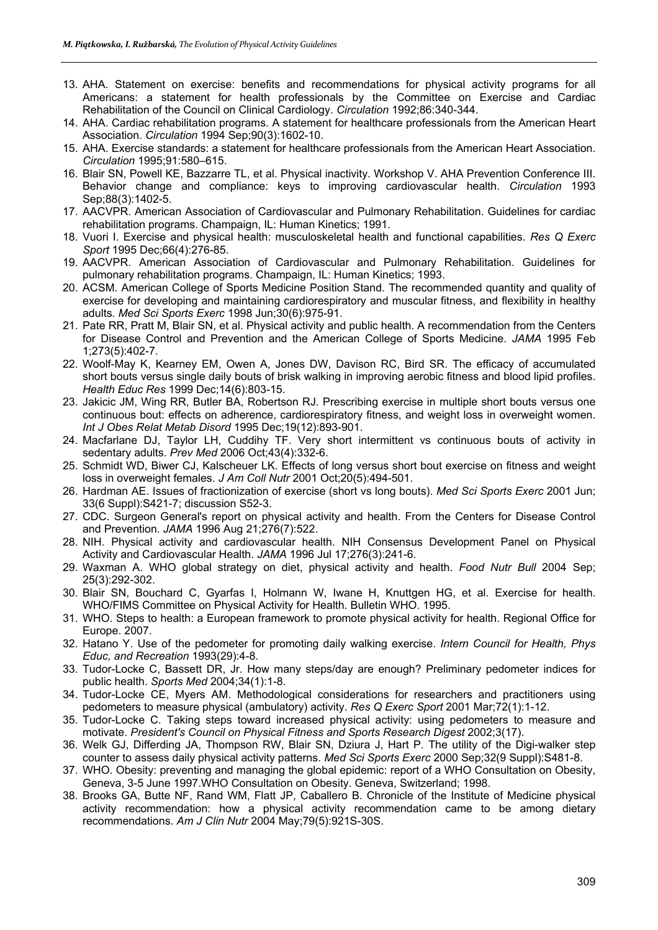- 13. AHA. Statement on exercise: benefits and recommendations for physical activity programs for all Americans: a statement for health professionals by the Committee on Exercise and Cardiac Rehabilitation of the Council on Clinical Cardiology. *Circulation* 1992;86:340-344.
- 14. AHA. Cardiac rehabilitation programs. A statement for healthcare professionals from the American Heart Association. *Circulation* 1994 Sep;90(3):1602-10.
- 15. AHA. Exercise standards: a statement for healthcare professionals from the American Heart Association. *Circulation* 1995;91:580–615.
- 16. Blair SN, Powell KE, Bazzarre TL, et al. Physical inactivity. Workshop V. AHA Prevention Conference III. Behavior change and compliance: keys to improving cardiovascular health. *Circulation* 1993 Sep;88(3):1402-5.
- 17. AACVPR. American Association of Cardiovascular and Pulmonary Rehabilitation. Guidelines for cardiac rehabilitation programs. Champaign, IL: Human Kinetics; 1991.
- 18. Vuori I. Exercise and physical health: musculoskeletal health and functional capabilities. *Res Q Exerc Sport* 1995 Dec;66(4):276-85.
- 19. AACVPR. American Association of Cardiovascular and Pulmonary Rehabilitation. Guidelines for pulmonary rehabilitation programs. Champaign, IL: Human Kinetics; 1993.
- 20. ACSM. American College of Sports Medicine Position Stand. The recommended quantity and quality of exercise for developing and maintaining cardiorespiratory and muscular fitness, and flexibility in healthy adults. *Med Sci Sports Exerc* 1998 Jun;30(6):975-91.
- 21. Pate RR, Pratt M, Blair SN, et al. Physical activity and public health. A recommendation from the Centers for Disease Control and Prevention and the American College of Sports Medicine. *JAMA* 1995 Feb 1;273(5):402-7.
- 22. Woolf-May K, Kearney EM, Owen A, Jones DW, Davison RC, Bird SR. The efficacy of accumulated short bouts versus single daily bouts of brisk walking in improving aerobic fitness and blood lipid profiles. *Health Educ Res* 1999 Dec;14(6):803-15.
- 23. Jakicic JM, Wing RR, Butler BA, Robertson RJ. Prescribing exercise in multiple short bouts versus one continuous bout: effects on adherence, cardiorespiratory fitness, and weight loss in overweight women. *Int J Obes Relat Metab Disord* 1995 Dec;19(12):893-901.
- 24. Macfarlane DJ, Taylor LH, Cuddihy TF. Very short intermittent vs continuous bouts of activity in sedentary adults. *Prev Med* 2006 Oct;43(4):332-6.
- 25. Schmidt WD, Biwer CJ, Kalscheuer LK. Effects of long versus short bout exercise on fitness and weight loss in overweight females. *J Am Coll Nutr* 2001 Oct;20(5):494-501.
- 26. Hardman AE. Issues of fractionization of exercise (short vs long bouts). *Med Sci Sports Exerc* 2001 Jun; 33(6 Suppl):S421-7; discussion S52-3.
- 27. CDC. Surgeon General's report on physical activity and health. From the Centers for Disease Control and Prevention. *JAMA* 1996 Aug 21;276(7):522.
- 28. NIH. Physical activity and cardiovascular health. NIH Consensus Development Panel on Physical Activity and Cardiovascular Health. *JAMA* 1996 Jul 17;276(3):241-6.
- 29. Waxman A. WHO global strategy on diet, physical activity and health. *Food Nutr Bull* 2004 Sep; 25(3):292-302.
- 30. Blair SN, Bouchard C, Gyarfas I, Holmann W, Iwane H, Knuttgen HG, et al. Exercise for health. WHO/FIMS Committee on Physical Activity for Health. Bulletin WHO. 1995.
- 31. WHO. Steps to health: a European framework to promote physical activity for health. Regional Office for Europe. 2007.
- 32. Hatano Y. Use of the pedometer for promoting daily walking exercise. *Intern Council for Health, Phys Educ, and Recreation* 1993(29):4-8.
- 33. Tudor-Locke C, Bassett DR, Jr. How many steps/day are enough? Preliminary pedometer indices for public health. *Sports Med* 2004;34(1):1-8.
- 34. Tudor-Locke CE, Myers AM. Methodological considerations for researchers and practitioners using pedometers to measure physical (ambulatory) activity. *Res Q Exerc Sport* 2001 Mar;72(1):1-12.
- 35. Tudor-Locke C. Taking steps toward increased physical activity: using pedometers to measure and motivate. *President's Council on Physical Fitness and Sports Research Digest* 2002;3(17).
- 36. Welk GJ, Differding JA, Thompson RW, Blair SN, Dziura J, Hart P. The utility of the Digi-walker step counter to assess daily physical activity patterns. *Med Sci Sports Exerc* 2000 Sep;32(9 Suppl):S481-8.
- 37. WHO. Obesity: preventing and managing the global epidemic: report of a WHO Consultation on Obesity, Geneva, 3-5 June 1997.WHO Consultation on Obesity. Geneva, Switzerland; 1998.
- 38. Brooks GA, Butte NF, Rand WM, Flatt JP, Caballero B. Chronicle of the Institute of Medicine physical activity recommendation: how a physical activity recommendation came to be among dietary recommendations. *Am J Clin Nutr* 2004 May;79(5):921S-30S.